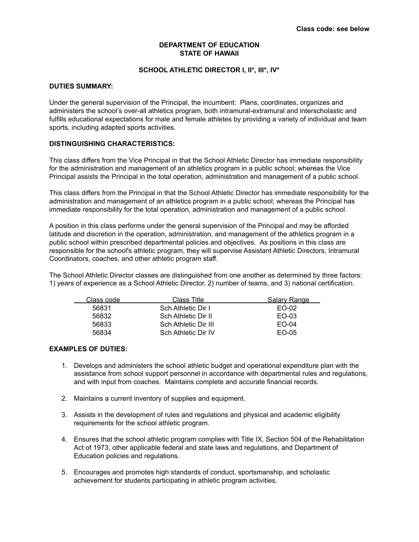## **DEPARTMENT OF EDUCATION STATE OF HAWAII**

## **SCHOOL ATHLETIC DIRECTOR I, II\*, III\*, IV\***

## **DUTIES SUMMARY:**

Under the general supervision of the Principal, the incumbent: Plans, coordinates, organizes and administers the school's over-all athletics program, both intramural-extramural and interscholastic and fulfills educational expectations for male and female athletes by providing a variety of individual and team sports, including adapted sports activities.

### **DISTINGUISHING CHARACTERISTICS:**

This class differs from the Vice Principal in that the School Athletic Director has immediate responsibility for the administration and management of an athletics program in a public school; whereas the Vice Principal assists the Principal in the total operation, administration and management of a public school.

This class differs from the Principal in that the School Athletic Director has immediate responsibility for the administration and management of an athletics program in a public school; whereas the Principal has immediate responsibility for the total operation, administration and management of a public school.

A position in this class performs under the general supervision of the Principal and may be afforded latitude and discretion in the operation, administration, and management of the athletics program in a public school within prescribed departmental policies and objectives. As positions in this class are responsible for the school's athletic program, they will supervise Assistant Athletic Directors, Intramural Coordinators, coaches, and other athletic program staff.

The School Athletic Director classes are distinguished from one another as determined by three factors: 1) years of experience as a School Athletic Director, 2) number of teams, and 3) national certification.

| Class code | Class Title          | Salary Range |
|------------|----------------------|--------------|
| 56831      | Sch Athletic Dir I   | EQ-02        |
| 56832      | Sch Athletic Dir II  | EQ-03        |
| 56833      | Sch Athletic Dir III | $EO-04$      |
| 56834      | Sch Athletic Dir IV  | $EO-05$      |

#### **EXAMPLES OF DUTIES:**

- 1. Develops and administers the school athletic budget and operational expenditure plan with the assistance from school support personnel in accordance with departmental rules and regulations, and with input from coaches. Maintains complete and accurate financial records.
- 2. Maintains a current inventory of supplies and equipment.
- 3. Assists in the development of rules and regulations and physical and academic eligibility requirements for the school athletic program.
- 4. Ensures that the school athletic program complies with Title IX, Section 504 of the Rehabilitation Act of 1973, other applicable federal and state laws and regulations, and Department of Education policies and regulations.
- 5. Encourages and promotes high standards of conduct, sportsmanship, and scholastic achievement for students participating in athletic program activities.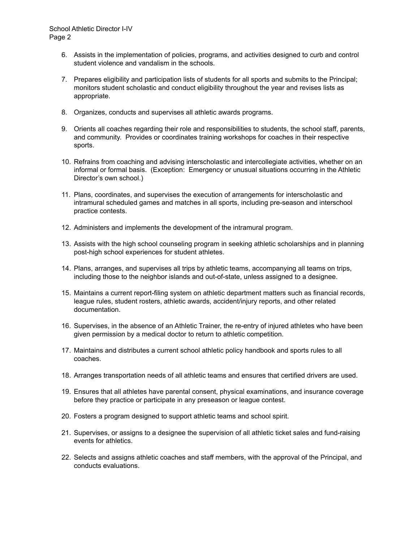- 6. Assists in the implementation of policies, programs, and activities designed to curb and control student violence and vandalism in the schools.
- 7. Prepares eligibility and participation lists of students for all sports and submits to the Principal; monitors student scholastic and conduct eligibility throughout the year and revises lists as appropriate.
- 8. Organizes, conducts and supervises all athletic awards programs.
- 9. Orients all coaches regarding their role and responsibilities to students, the school staff, parents, and community. Provides or coordinates training workshops for coaches in their respective sports.
- 10. Refrains from coaching and advising interscholastic and intercollegiate activities, whether on an informal or formal basis. (Exception: Emergency or unusual situations occurring in the Athletic Director's own school.)
- 11. Plans, coordinates, and supervises the execution of arrangements for interscholastic and intramural scheduled games and matches in all sports, including pre-season and interschool practice contests.
- 12. Administers and implements the development of the intramural program.
- 13. Assists with the high school counseling program in seeking athletic scholarships and in planning post-high school experiences for student athletes.
- 14. Plans, arranges, and supervises all trips by athletic teams, accompanying all teams on trips, including those to the neighbor islands and out-of-state, unless assigned to a designee.
- 15. Maintains a current report-filing system on athletic department matters such as financial records, league rules, student rosters, athletic awards, accident/injury reports, and other related documentation.
- 16. Supervises, in the absence of an Athletic Trainer, the re-entry of injured athletes who have been given permission by a medical doctor to return to athletic competition.
- 17. Maintains and distributes a current school athletic policy handbook and sports rules to all coaches.
- 18. Arranges transportation needs of all athletic teams and ensures that certified drivers are used.
- 19. Ensures that all athletes have parental consent, physical examinations, and insurance coverage before they practice or participate in any preseason or league contest.
- 20. Fosters a program designed to support athletic teams and school spirit.
- 21. Supervises, or assigns to a designee the supervision of all athletic ticket sales and fund-raising events for athletics.
- 22. Selects and assigns athletic coaches and staff members, with the approval of the Principal, and conducts evaluations.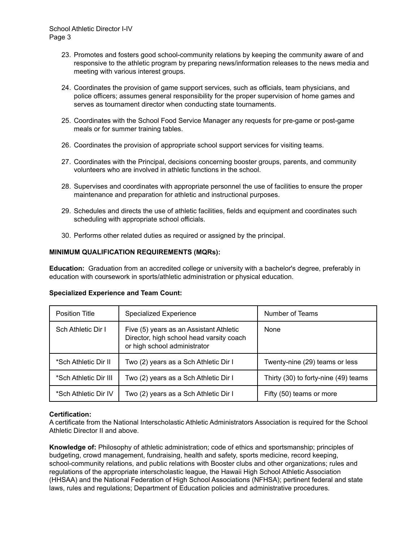- 23. Promotes and fosters good school-community relations by keeping the community aware of and responsive to the athletic program by preparing news/information releases to the news media and meeting with various interest groups.
- 24. Coordinates the provision of game support services, such as officials, team physicians, and police officers; assumes general responsibility for the proper supervision of home games and serves as tournament director when conducting state tournaments.
- 25. Coordinates with the School Food Service Manager any requests for pre-game or post-game meals or for summer training tables.
- 26. Coordinates the provision of appropriate school support services for visiting teams.
- 27. Coordinates with the Principal, decisions concerning booster groups, parents, and community volunteers who are involved in athletic functions in the school.
- 28. Supervises and coordinates with appropriate personnel the use of facilities to ensure the proper maintenance and preparation for athletic and instructional purposes.
- 29. Schedules and directs the use of athletic facilities, fields and equipment and coordinates such scheduling with appropriate school officials.
- 30. Performs other related duties as required or assigned by the principal.

# **MINIMUM QUALIFICATION REQUIREMENTS (MQRs):**

**Education:** Graduation from an accredited college or university with a bachelor's degree, preferably in education with coursework in sports/athletic administration or physical education.

| <b>Position Title</b> | <b>Specialized Experience</b>                                                                                       | Number of Teams                      |
|-----------------------|---------------------------------------------------------------------------------------------------------------------|--------------------------------------|
| Sch Athletic Dir I    | Five (5) years as an Assistant Athletic<br>Director, high school head varsity coach<br>or high school administrator | None                                 |
| *Sch Athletic Dir II  | Two (2) years as a Sch Athletic Dir I                                                                               | Twenty-nine (29) teams or less       |
| *Sch Athletic Dir III | Two (2) years as a Sch Athletic Dir I                                                                               | Thirty (30) to forty-nine (49) teams |
| *Sch Athletic Dir IV  | Two (2) years as a Sch Athletic Dir I                                                                               | Fifty (50) teams or more             |

# **Specialized Experience and Team Count:**

## **Certification:**

A certificate from the National Interscholastic Athletic Administrators Association is required for the School Athletic Director II and above.

**Knowledge of:** Philosophy of athletic administration; code of ethics and sportsmanship; principles of budgeting, crowd management, fundraising, health and safety, sports medicine, record keeping, school-community relations, and public relations with Booster clubs and other organizations; rules and regulations of the appropriate interscholastic league, the Hawaii High School Athletic Association (HHSAA) and the National Federation of High School Associations (NFHSA); pertinent federal and state laws, rules and regulations; Department of Education policies and administrative procedures.